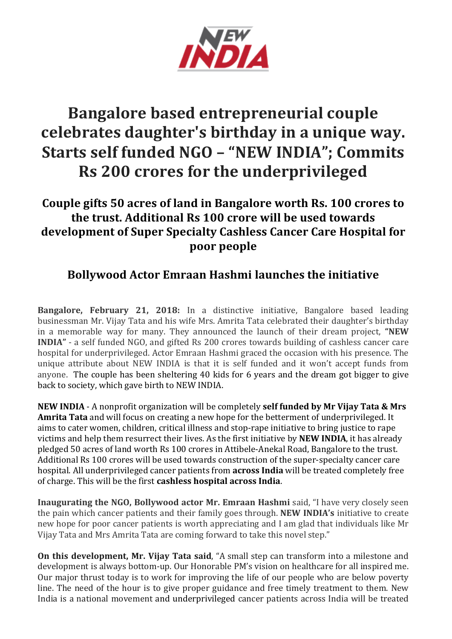

# **Bangalore based entrepreneurial couple** celebrates daughter's birthday in a unique way. **Starts self funded NGO - "NEW INDIA"; Commits Rs** 200 crores for the underprivileged

## **Couple gifts 50 acres of land in Bangalore worth Rs. 100 crores to the trust. Additional Rs 100 crore will be used towards** development of Super Specialty Cashless Cancer Care Hospital for **poor people**

## **Bollywood Actor Emraan Hashmi launches the initiative**

**Bangalore, February 21, 2018:** In a distinctive initiative, Bangalore based leading businessman Mr. Vijay Tata and his wife Mrs. Amrita Tata celebrated their daughter's birthday in a memorable way for many. They announced the launch of their dream project, "NEW **INDIA"** - a self funded NGO, and gifted Rs 200 crores towards building of cashless cancer care hospital for underprivileged. Actor Emraan Hashmi graced the occasion with his presence. The unique attribute about NEW INDIA is that it is self funded and it won't accept funds from anyone. The couple has been sheltering 40 kids for 6 years and the dream got bigger to give back to society, which gave birth to NEW INDIA.

**NEW INDIA** - A nonprofit organization will be completely **self funded by Mr Vijay Tata & Mrs Amrita Tata** and will focus on creating a new hope for the betterment of underprivileged. It aims to cater women, children, critical illness and stop-rape initiative to bring justice to rape victims and help them resurrect their lives. As the first initiative by **NEW INDIA**, it has already pledged 50 acres of land worth Rs 100 crores in Attibele-Anekal Road, Bangalore to the trust. Additional Rs 100 crores will be used towards construction of the super-specialty cancer care hospital. All underprivileged cancer patients from **across India** will be treated completely free of charge. This will be the first **cashless hospital across India**.

**Inaugurating the NGO, Bollywood actor Mr. Emraan Hashmi** said, "I have very closely seen the pain which cancer patients and their family goes through. **NEW INDIA's** initiative to create new hope for poor cancer patients is worth appreciating and I am glad that individuals like Mr Vijay Tata and Mrs Amrita Tata are coming forward to take this novel step."

**On this development, Mr. Vijay Tata said,** "A small step can transform into a milestone and development is always bottom-up. Our Honorable PM's vision on healthcare for all inspired me. Our major thrust today is to work for improving the life of our people who are below poverty line. The need of the hour is to give proper guidance and free timely treatment to them. New India is a national movement and underprivileged cancer patients across India will be treated